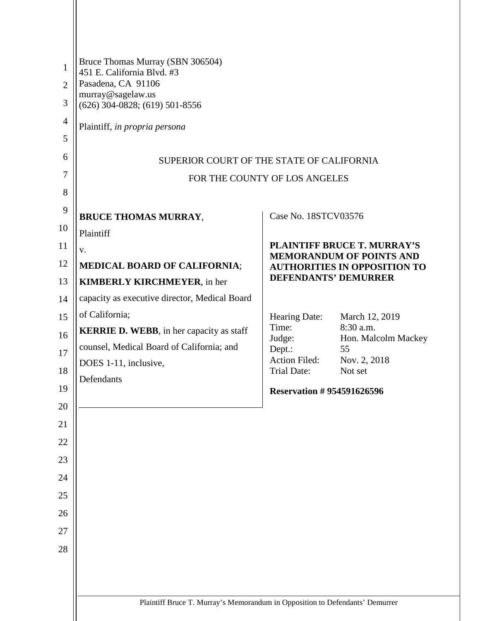| 1<br>$\overline{2}$<br>3<br>$\overline{4}$<br>5<br>6<br>7<br>8 | Bruce Thomas Murray (SBN 306504)<br>451 E. California Blvd. #3<br>Pasadena, CA 91106<br>murray@sagelaw.us<br>$(626)$ 304-0828; $(619)$ 501-8556<br>Plaintiff, in propria persona<br>SUPERIOR COURT OF THE STATE OF CALIFORNIA | FOR THE COUNTY OF LOS ANGELES    |                                     |  |  |
|----------------------------------------------------------------|-------------------------------------------------------------------------------------------------------------------------------------------------------------------------------------------------------------------------------|----------------------------------|-------------------------------------|--|--|
| 9                                                              | <b>BRUCE THOMAS MURRAY,</b>                                                                                                                                                                                                   | Case No. 18STCV03576             |                                     |  |  |
| 10<br>11                                                       | Plaintiff                                                                                                                                                                                                                     |                                  | <b>PLAINTIFF BRUCE T. MURRAY'S</b>  |  |  |
| 12                                                             | V.<br><b>MEDICAL BOARD OF CALIFORNIA;</b>                                                                                                                                                                                     |                                  | <b>MEMORANDUM OF POINTS AND</b>     |  |  |
| 13                                                             | <b>KIMBERLY KIRCHMEYER, in her</b>                                                                                                                                                                                            | <b>DEFENDANTS' DEMURRER</b>      | <b>AUTHORITIES IN OPPOSITION TO</b> |  |  |
| 14                                                             | capacity as executive director, Medical Board                                                                                                                                                                                 |                                  |                                     |  |  |
| 15                                                             | of California;                                                                                                                                                                                                                | Hearing Date:                    | March 12, 2019                      |  |  |
| 16                                                             | <b>KERRIE D. WEBB</b> , in her capacity as staff                                                                                                                                                                              | Time:<br>Judge:                  | 8:30 a.m.<br>Hon. Malcolm Mackey    |  |  |
| 17                                                             | counsel, Medical Board of California; and                                                                                                                                                                                     | Dept.:                           | 55                                  |  |  |
| 18                                                             | DOES 1-11, inclusive,                                                                                                                                                                                                         | Action Filed:<br>Trial Date:     | Nov. 2, 2018<br>Not set             |  |  |
| 19                                                             | Defendants                                                                                                                                                                                                                    | <b>Reservation #954591626596</b> |                                     |  |  |
| 20                                                             |                                                                                                                                                                                                                               |                                  |                                     |  |  |
| 21                                                             |                                                                                                                                                                                                                               |                                  |                                     |  |  |
| 22                                                             |                                                                                                                                                                                                                               |                                  |                                     |  |  |
| 23                                                             |                                                                                                                                                                                                                               |                                  |                                     |  |  |
| 24                                                             |                                                                                                                                                                                                                               |                                  |                                     |  |  |
| 25                                                             |                                                                                                                                                                                                                               |                                  |                                     |  |  |
| 26                                                             |                                                                                                                                                                                                                               |                                  |                                     |  |  |
| 27                                                             |                                                                                                                                                                                                                               |                                  |                                     |  |  |
| 28                                                             |                                                                                                                                                                                                                               |                                  |                                     |  |  |
|                                                                |                                                                                                                                                                                                                               |                                  |                                     |  |  |
|                                                                | Plaintiff Bruce T. Murray's Memorandum in Opposition to Defendants' Demurrer                                                                                                                                                  |                                  |                                     |  |  |
|                                                                |                                                                                                                                                                                                                               |                                  |                                     |  |  |

L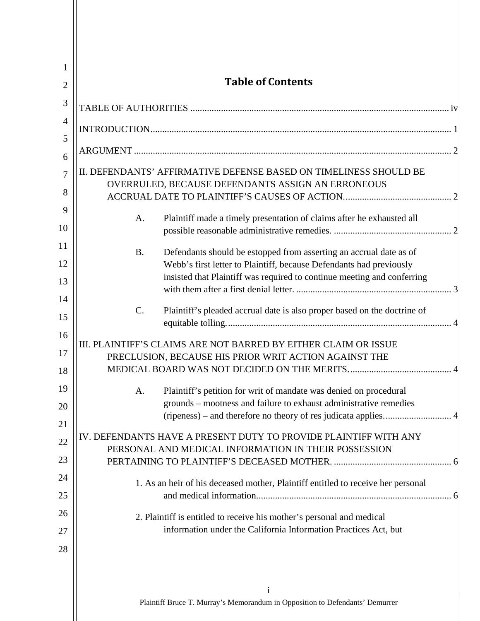| 1              |                                                                                                                                                                                                                                   |  |  |
|----------------|-----------------------------------------------------------------------------------------------------------------------------------------------------------------------------------------------------------------------------------|--|--|
| $\overline{2}$ | <b>Table of Contents</b>                                                                                                                                                                                                          |  |  |
| 3              |                                                                                                                                                                                                                                   |  |  |
| $\overline{4}$ |                                                                                                                                                                                                                                   |  |  |
| 5<br>6         |                                                                                                                                                                                                                                   |  |  |
| 7<br>8         | II. DEFENDANTS' AFFIRMATIVE DEFENSE BASED ON TIMELINESS SHOULD BE<br>OVERRULED, BECAUSE DEFENDANTS ASSIGN AN ERRONEOUS                                                                                                            |  |  |
| 9<br>10        | Plaintiff made a timely presentation of claims after he exhausted all<br>A.                                                                                                                                                       |  |  |
| 11<br>12<br>13 | <b>B.</b><br>Defendants should be estopped from asserting an accrual date as of<br>Webb's first letter to Plaintiff, because Defendants had previously<br>insisted that Plaintiff was required to continue meeting and conferring |  |  |
| 14<br>15       | C.<br>Plaintiff's pleaded accrual date is also proper based on the doctrine of                                                                                                                                                    |  |  |
| 16<br>17<br>18 | III. PLAINTIFF'S CLAIMS ARE NOT BARRED BY EITHER CLAIM OR ISSUE<br>PRECLUSION, BECAUSE HIS PRIOR WRIT ACTION AGAINST THE                                                                                                          |  |  |
| 19<br>20<br>21 | Plaintiff's petition for writ of mandate was denied on procedural<br>A.<br>grounds - mootness and failure to exhaust administrative remedies                                                                                      |  |  |
| 22<br>23       | IV. DEFENDANTS HAVE A PRESENT DUTY TO PROVIDE PLAINTIFF WITH ANY<br>PERSONAL AND MEDICAL INFORMATION IN THEIR POSSESSION                                                                                                          |  |  |
| 24             | 1. As an heir of his deceased mother, Plaintiff entitled to receive her personal                                                                                                                                                  |  |  |
| 25             |                                                                                                                                                                                                                                   |  |  |
| 26             | 2. Plaintiff is entitled to receive his mother's personal and medical                                                                                                                                                             |  |  |
| 27             | information under the California Information Practices Act, but                                                                                                                                                                   |  |  |
| 28             |                                                                                                                                                                                                                                   |  |  |
|                | Plaintiff Bruce T. Murray's Memorandum in Opposition to Defendants' Demurrer                                                                                                                                                      |  |  |
|                |                                                                                                                                                                                                                                   |  |  |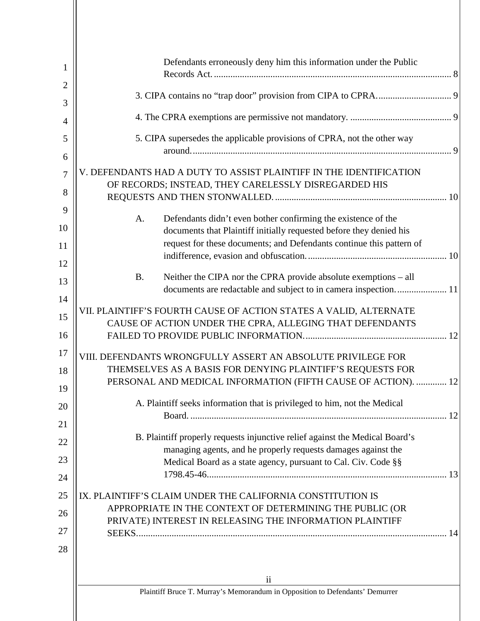| 1                   | Defendants erroneously deny him this information under the Public                                                                               |  |  |  |  |
|---------------------|-------------------------------------------------------------------------------------------------------------------------------------------------|--|--|--|--|
| $\overline{2}$<br>3 |                                                                                                                                                 |  |  |  |  |
| 4                   |                                                                                                                                                 |  |  |  |  |
| 5                   | 5. CIPA supersedes the applicable provisions of CPRA, not the other way                                                                         |  |  |  |  |
| 6                   |                                                                                                                                                 |  |  |  |  |
| $\overline{7}$      | V. DEFENDANTS HAD A DUTY TO ASSIST PLAINTIFF IN THE IDENTIFICATION<br>OF RECORDS; INSTEAD, THEY CARELESSLY DISREGARDED HIS                      |  |  |  |  |
| 8                   |                                                                                                                                                 |  |  |  |  |
| 9<br>10             | Defendants didn't even bother confirming the existence of the<br>A.                                                                             |  |  |  |  |
|                     | documents that Plaintiff initially requested before they denied his<br>request for these documents; and Defendants continue this pattern of     |  |  |  |  |
| 11                  |                                                                                                                                                 |  |  |  |  |
| 12                  |                                                                                                                                                 |  |  |  |  |
| 13                  | Neither the CIPA nor the CPRA provide absolute exemptions – all<br><b>B.</b><br>documents are redactable and subject to in camera inspection 11 |  |  |  |  |
| 14                  | VII. PLAINTIFF'S FOURTH CAUSE OF ACTION STATES A VALID, ALTERNATE                                                                               |  |  |  |  |
| 15                  | CAUSE OF ACTION UNDER THE CPRA, ALLEGING THAT DEFENDANTS                                                                                        |  |  |  |  |
| 16                  |                                                                                                                                                 |  |  |  |  |
| 17                  | VIII. DEFENDANTS WRONGFULLY ASSERT AN ABSOLUTE PRIVILEGE FOR                                                                                    |  |  |  |  |
| 18                  | THEMSELVES AS A BASIS FOR DENYING PLAINTIFF'S REQUESTS FOR                                                                                      |  |  |  |  |
| 19                  | PERSONAL AND MEDICAL INFORMATION (FIFTH CAUSE OF ACTION).  12                                                                                   |  |  |  |  |
| 20                  | A. Plaintiff seeks information that is privileged to him, not the Medical                                                                       |  |  |  |  |
| 21                  |                                                                                                                                                 |  |  |  |  |
| 22                  | B. Plaintiff properly requests injunctive relief against the Medical Board's                                                                    |  |  |  |  |
| 23                  | managing agents, and he properly requests damages against the<br>Medical Board as a state agency, pursuant to Cal. Civ. Code §§                 |  |  |  |  |
| 24                  |                                                                                                                                                 |  |  |  |  |
| 25                  | IX. PLAINTIFF'S CLAIM UNDER THE CALIFORNIA CONSTITUTION IS                                                                                      |  |  |  |  |
|                     | APPROPRIATE IN THE CONTEXT OF DETERMINING THE PUBLIC (OR                                                                                        |  |  |  |  |
| 26                  | PRIVATE) INTEREST IN RELEASING THE INFORMATION PLAINTIFF                                                                                        |  |  |  |  |
| 27                  |                                                                                                                                                 |  |  |  |  |
| 28                  |                                                                                                                                                 |  |  |  |  |
|                     |                                                                                                                                                 |  |  |  |  |
|                     | $\mathbf{ii}$                                                                                                                                   |  |  |  |  |
|                     | Plaintiff Bruce T. Murray's Memorandum in Opposition to Defendants' Demurrer                                                                    |  |  |  |  |
|                     |                                                                                                                                                 |  |  |  |  |

Ш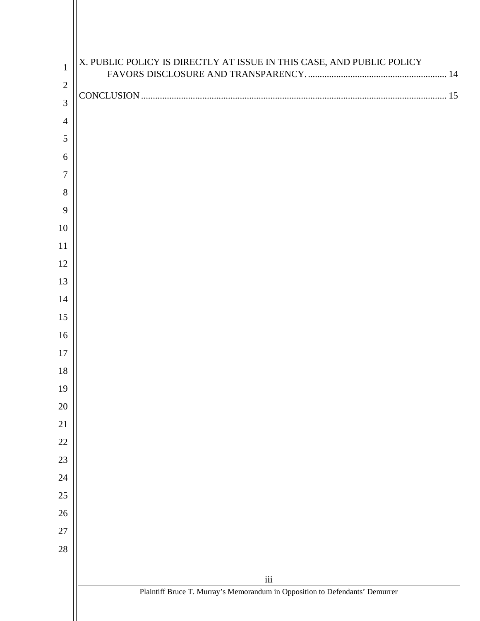| $\mathbf{1}$   | X. PUBLIC POLICY IS DIRECTLY AT ISSUE IN THIS CASE, AND PUBLIC POLICY        |
|----------------|------------------------------------------------------------------------------|
| $\sqrt{2}$     |                                                                              |
| 3              |                                                                              |
| $\overline{4}$ |                                                                              |
| 5              |                                                                              |
| 6              |                                                                              |
| 7              |                                                                              |
| 8              |                                                                              |
| 9              |                                                                              |
| 10             |                                                                              |
| 11             |                                                                              |
| 12             |                                                                              |
| 13             |                                                                              |
| 14             |                                                                              |
| 15             |                                                                              |
| 16             |                                                                              |
| 17             |                                                                              |
| 18             |                                                                              |
| 19             |                                                                              |
| 20             |                                                                              |
| 21             |                                                                              |
| $22\,$         |                                                                              |
| $23\,$         |                                                                              |
| $24\,$         |                                                                              |
| $25\,$         |                                                                              |
| $26\,$         |                                                                              |
| $27\,$         |                                                                              |
| $28\,$         |                                                                              |
|                | $\,$ iii                                                                     |
|                | Plaintiff Bruce T. Murray's Memorandum in Opposition to Defendants' Demurrer |
|                |                                                                              |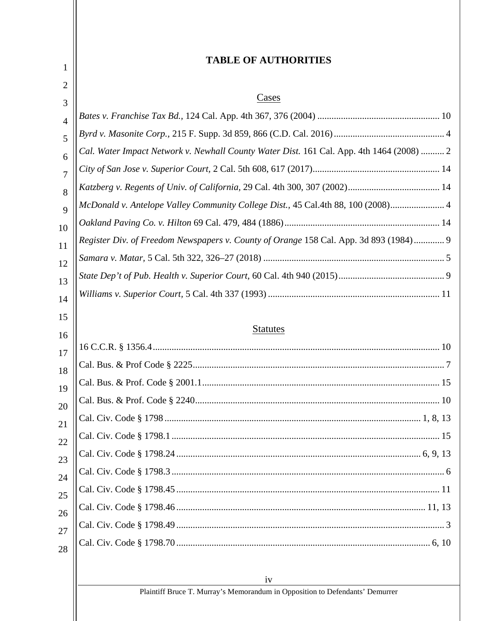#### <span id="page-4-0"></span>iv Plaintiff Bruce T. Murray's Memorandum in Opposition to Defendants' Demurrer 1 2 3 4 5 6 7 8 9 10 11 12 13 14 15 16 17 18 19 20 21 22 23 24 25 26 27 28 **TABLE OF AUTHORITIES** Cases *Bates v. Franchise Tax Bd.,* 124 Cal. App. 4th 367, 376 (2004) .................................................... 10 *Byrd v. Masonite Corp.,* 215 F. Supp. 3d 859, 866 (C.D. Cal. 2016)............................................... 4 *Cal. Water Impact Network v. Newhall County Water Dist.* 161 Cal. App. 4th 1464 (2008) .......... 2 *City of San Jose v. Superior Court,* 2 Cal. 5th 608, 617 (2017)...................................................... 14 *Katzberg v. Regents of Univ. of California,* 29 Cal. 4th 300, 307 (2002)....................................... 14 *McDonald v. Antelope Valley Community College Dist.,* 45 Cal.4th 88, 100 (2008)....................... 4 *Oakland Paving Co. v. Hilton* 69 Cal. 479, 484 (1886).................................................................. 14 *Register Div. of Freedom Newspapers v. County of Orange* 158 Cal. App. 3d 893 (1984)............. 9 *Samara v. Matar,* 5 Cal. 5th 322, 326–27 (2018) ............................................................................. 5 *State Dep't of Pub. Health v. Superior Court,* 60 Cal. 4th 940 (2015)............................................. 9 *Williams v. Superior Court,* 5 Cal. 4th 337 (1993) ......................................................................... 11 **Statutes** 16 C.C.R. § 1356.4.......................................................................................................................... 10 Cal. Bus. & Prof Code § 2225........................................................................................................... 7 Cal. Bus. & Prof. Code § 2001.1..................................................................................................... 15 Cal. Bus. & Prof. Code § 2240........................................................................................................ 10 Cal. Civ. Code § 1798 ............................................................................................................. 1, 8, 13 Cal. Civ. Code § 1798.1 .................................................................................................................. 15 Cal. Civ. Code § 1798.24 ........................................................................................................ 6, 9, 13 Cal. Civ. Code § 1798.3 .................................................................................................................... 6 Cal. Civ. Code § 1798.45 ................................................................................................................ 11 Cal. Civ. Code § 1798.46 .......................................................................................................... 11, 13 Cal. Civ. Code § 1798.49 .................................................................................................................. 3 Cal. Civ. Code § 1798.70 ............................................................................................................ 6, 10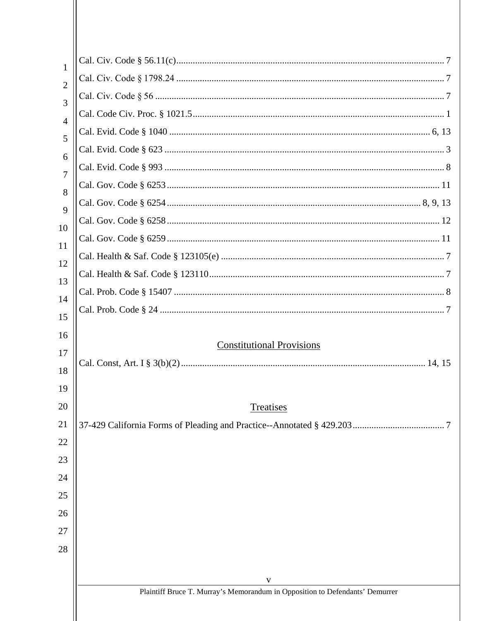| 1                   |                                                                                   |  |  |
|---------------------|-----------------------------------------------------------------------------------|--|--|
| $\overline{2}$<br>3 |                                                                                   |  |  |
|                     |                                                                                   |  |  |
| $\overline{4}$      |                                                                                   |  |  |
| 5                   |                                                                                   |  |  |
|                     |                                                                                   |  |  |
| 6                   |                                                                                   |  |  |
| 7                   |                                                                                   |  |  |
| 8                   |                                                                                   |  |  |
| 9                   |                                                                                   |  |  |
| 10                  |                                                                                   |  |  |
| 11                  |                                                                                   |  |  |
| 12                  |                                                                                   |  |  |
| 13                  |                                                                                   |  |  |
| 14                  |                                                                                   |  |  |
| 15                  |                                                                                   |  |  |
| 16                  | <b>Constitutional Provisions</b>                                                  |  |  |
| 17                  |                                                                                   |  |  |
| 18                  |                                                                                   |  |  |
| 19                  |                                                                                   |  |  |
| 20                  | Treatises                                                                         |  |  |
| 21                  |                                                                                   |  |  |
| 22                  |                                                                                   |  |  |
| 23                  |                                                                                   |  |  |
| 24                  |                                                                                   |  |  |
| 25                  |                                                                                   |  |  |
| 26                  |                                                                                   |  |  |
| 27                  |                                                                                   |  |  |
| 28                  |                                                                                   |  |  |
|                     |                                                                                   |  |  |
|                     | V<br>Plaintiff Bruce T. Murray's Memorandum in Opposition to Defendants' Demurrer |  |  |
|                     |                                                                                   |  |  |
|                     |                                                                                   |  |  |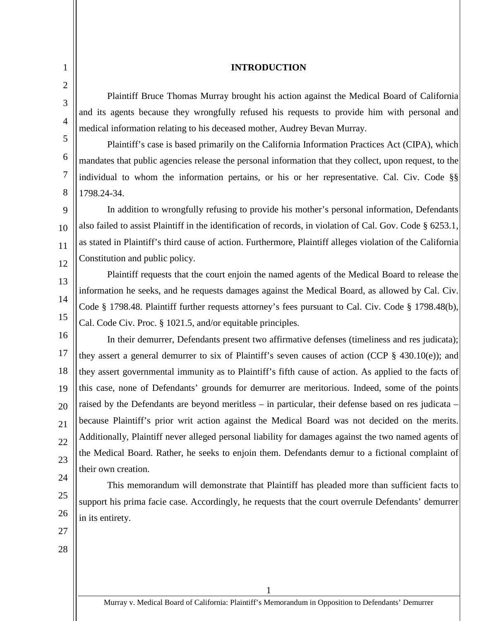#### **INTRODUCTION**

Plaintiff Bruce Thomas Murray brought his action against the Medical Board of California and its agents because they wrongfully refused his requests to provide him with personal and medical information relating to his deceased mother, Audrey Bevan Murray.

Plaintiff's case is based primarily on the California Information Practices Act (CIPA), which mandates that public agencies release the personal information that they collect, upon request, to the individual to whom the information pertains, or his or her representative. Cal. Civ. Code §§ 1798.24-34.

9 10 11 12 In addition to wrongfully refusing to provide his mother's personal information, Defendants also failed to assist Plaintiff in the identification of records, in violation of Cal. Gov. Code § 6253.1, as stated in Plaintiff's third cause of action. Furthermore, Plaintiff alleges violation of the California Constitution and public policy.

Plaintiff requests that the court enjoin the named agents of the Medical Board to release the information he seeks, and he requests damages against the Medical Board, as allowed by Cal. Civ. Code § 1798.48. Plaintiff further requests attorney's fees pursuant to Cal. Civ. Code § 1798.48(b), Cal. Code Civ. Proc. § 1021.5, and/or equitable principles.

16 17 18 19 20 21 22 23 In their demurrer, Defendants present two affirmative defenses (timeliness and res judicata); they assert a general demurrer to six of Plaintiff's seven causes of action (CCP  $\S$  430.10(e)); and they assert governmental immunity as to Plaintiff's fifth cause of action. As applied to the facts of this case, none of Defendants' grounds for demurrer are meritorious. Indeed, some of the points raised by the Defendants are beyond meritless – in particular, their defense based on res judicata – because Plaintiff's prior writ action against the Medical Board was not decided on the merits. Additionally, Plaintiff never alleged personal liability for damages against the two named agents of the Medical Board. Rather, he seeks to enjoin them. Defendants demur to a fictional complaint of their own creation.

This memorandum will demonstrate that Plaintiff has pleaded more than sufficient facts to support his prima facie case. Accordingly, he requests that the court overrule Defendants' demurrer in its entirety.

27

24

25

26

<span id="page-6-0"></span>1

2

3

4

5

6

7

8

13

14

15

28

1 Murray v. Medical Board of California: Plaintiff's Memorandum in Opposition to Defendants' Demurrer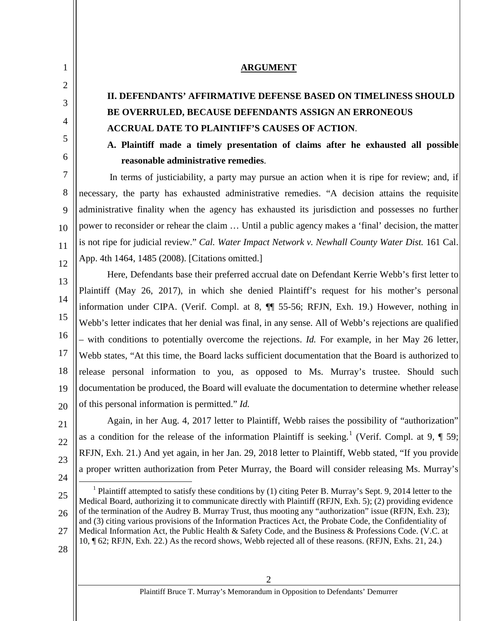### **ARGUMENT**

## **II. DEFENDANTS' AFFIRMATIVE DEFENSE BASED ON TIMELINESS SHOULD BE OVERRULED, BECAUSE DEFENDANTS ASSIGN AN ERRONEOUS ACCRUAL DATE TO PLAINTIFF'S CAUSES OF ACTION**.

## **A. Plaintiff made a timely presentation of claims after he exhausted all possible reasonable administrative remedies**.

In terms of justiciability, a party may pursue an action when it is ripe for review; and, if necessary, the party has exhausted administrative remedies. "A decision attains the requisite administrative finality when the agency has exhausted its jurisdiction and possesses no further power to reconsider or rehear the claim … Until a public agency makes a 'final' decision, the matter is not ripe for judicial review." *Cal. Water Impact Network v. Newhall County Water Dist.* 161 Cal. App. 4th 1464, 1485 (2008). [Citations omitted.]

13 14 15 16 17 18 19 20 Here, Defendants base their preferred accrual date on Defendant Kerrie Webb's first letter to Plaintiff (May 26, 2017), in which she denied Plaintiff's request for his mother's personal information under CIPA. (Verif. Compl. at 8, ¶¶ 55-56; RFJN, Exh. 19.) However, nothing in Webb's letter indicates that her denial was final, in any sense. All of Webb's rejections are qualified – with conditions to potentially overcome the rejections. *Id.* For example, in her May 26 letter, Webb states, "At this time, the Board lacks sufficient documentation that the Board is authorized to release personal information to you, as opposed to Ms. Murray's trustee. Should such documentation be produced, the Board will evaluate the documentation to determine whether release of this personal information is permitted." *Id.*

22 23 24 Again, in her Aug. 4, 2017 letter to Plaintiff, Webb raises the possibility of "authorization" as a condition for the release of the information Plaintiff is seeking.<sup>[1](#page-7-3)</sup> (Verif. Compl. at 9,  $\P$  59; RFJN, Exh. 21.) And yet again, in her Jan. 29, 2018 letter to Plaintiff, Webb stated, "If you provide a proper written authorization from Peter Murray, the Board will consider releasing Ms. Murray's

<span id="page-7-3"></span>25 26 27 <sup>1</sup> Plaintiff attempted to satisfy these conditions by (1) citing Peter B. Murray's Sept. 9, 2014 letter to the Medical Board, authorizing it to communicate directly with Plaintiff (RFJN, Exh. 5); (2) providing evidence of the termination of the Audrey B. Murray Trust, thus mooting any "authorization" issue (RFJN, Exh. 23); and (3) citing various provisions of the Information Practices Act, the Probate Code, the Confidentiality of Medical Information Act, the Public Health & Safety Code, and the Business & Professions Code. (V.C. at 10, ¶ 62; RFJN, Exh. 22.) As the record shows, Webb rejected all of these reasons. (RFJN, Exhs. 21, 24.)

28

21

<span id="page-7-0"></span>1

2

<span id="page-7-1"></span>3

4

<span id="page-7-2"></span>5

6

7

8

9

10

11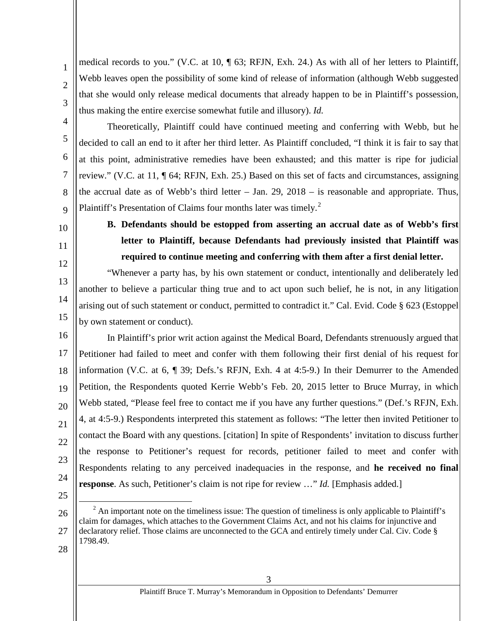medical records to you." (V.C. at 10, ¶ 63; RFJN, Exh. 24.) As with all of her letters to Plaintiff, Webb leaves open the possibility of some kind of release of information (although Webb suggested) that she would only release medical documents that already happen to be in Plaintiff's possession, thus making the entire exercise somewhat futile and illusory). *Id.*

4 6 7 8 9 Theoretically, Plaintiff could have continued meeting and conferring with Webb, but he decided to call an end to it after her third letter. As Plaintiff concluded, "I think it is fair to say that at this point, administrative remedies have been exhausted; and this matter is ripe for judicial review." (V.C. at 11, ¶ 64; RFJN, Exh. 25.) Based on this set of facts and circumstances, assigning the accrual date as of Webb's third letter – Jan.  $29$ ,  $2018$  – is reasonable and appropriate. Thus, Plaintiff's Presentation of Claims four months later was timely.<sup>[2](#page-8-1)</sup>

<span id="page-8-0"></span>10

1

2

3

5

- 11
- 12
- 13

14

15

**B. Defendants should be estopped from asserting an accrual date as of Webb's first letter to Plaintiff, because Defendants had previously insisted that Plaintiff was required to continue meeting and conferring with them after a first denial letter.**

"Whenever a party has, by his own statement or conduct, intentionally and deliberately led another to believe a particular thing true and to act upon such belief, he is not, in any litigation arising out of such statement or conduct, permitted to contradict it." Cal. Evid. Code § 623 (Estoppel by own statement or conduct).

16 17 18 19 20 21 22 23 24 In Plaintiff's prior writ action against the Medical Board, Defendants strenuously argued that Petitioner had failed to meet and confer with them following their first denial of his request for information (V.C. at 6, ¶ 39; Defs.'s RFJN, Exh. 4 at 4:5-9.) In their Demurrer to the Amended Petition, the Respondents quoted Kerrie Webb's Feb. 20, 2015 letter to Bruce Murray, in which Webb stated, "Please feel free to contact me if you have any further questions." (Def.'s RFJN, Exh. 4, at 4:5-9.) Respondents interpreted this statement as follows: "The letter then invited Petitioner to contact the Board with any questions. [citation] In spite of Respondents' invitation to discuss further the response to Petitioner's request for records, petitioner failed to meet and confer with Respondents relating to any perceived inadequacies in the response, and **he received no final response**. As such, Petitioner's claim is not ripe for review …" *Id.* [Emphasis added.]

25

<span id="page-8-1"></span><sup>26</sup> 27  $2^2$  An important note on the timeliness issue: The question of timeliness is only applicable to Plaintiff's claim for damages, which attaches to the Government Claims Act, and not his claims for injunctive and declaratory relief. Those claims are unconnected to the GCA and entirely timely under Cal. Civ. Code § 1798.49.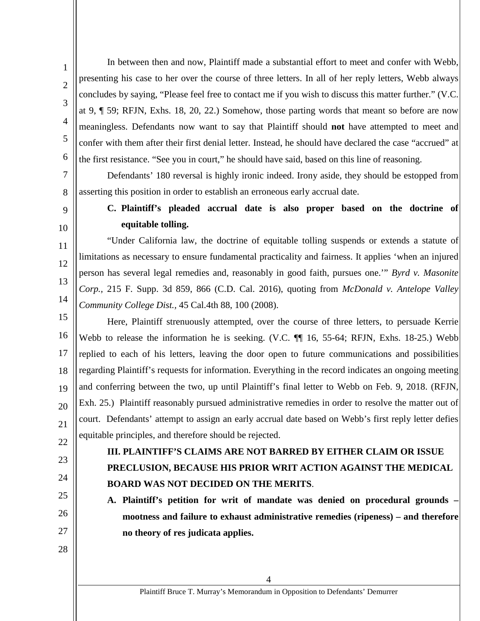In between then and now, Plaintiff made a substantial effort to meet and confer with Webb, presenting his case to her over the course of three letters. In all of her reply letters, Webb always concludes by saying, "Please feel free to contact me if you wish to discuss this matter further." (V.C. at 9, ¶ 59; RFJN, Exhs. 18, 20, 22.) Somehow, those parting words that meant so before are now meaningless. Defendants now want to say that Plaintiff should **not** have attempted to meet and confer with them after their first denial letter. Instead, he should have declared the case "accrued" at the first resistance. "See you in court," he should have said, based on this line of reasoning.

Defendants' 180 reversal is highly ironic indeed. Irony aside, they should be estopped from asserting this position in order to establish an erroneous early accrual date.

## <span id="page-9-0"></span>9 10

11

12

13

14

1

2

3

4

5

6

7

8

**C. Plaintiff's pleaded accrual date is also proper based on the doctrine of equitable tolling.**

"Under California law, the doctrine of equitable tolling suspends or extends a statute of limitations as necessary to ensure fundamental practicality and fairness. It applies 'when an injured person has several legal remedies and, reasonably in good faith, pursues one.'" *Byrd v. Masonite Corp.,* 215 F. Supp. 3d 859, 866 (C.D. Cal. 2016), quoting from *McDonald v. Antelope Valley Community College Dist.,* 45 Cal.4th 88, 100 (2008).

15 16 17 18 19 20 21 22 Here, Plaintiff strenuously attempted, over the course of three letters, to persuade Kerrie Webb to release the information he is seeking. (V.C.  $\P$  16, 55-64; RFJN, Exhs. 18-25.) Webb replied to each of his letters, leaving the door open to future communications and possibilities regarding Plaintiff's requests for information. Everything in the record indicates an ongoing meeting and conferring between the two, up until Plaintiff's final letter to Webb on Feb. 9, 2018. (RFJN, Exh. 25.) Plaintiff reasonably pursued administrative remedies in order to resolve the matter out of court. Defendants' attempt to assign an early accrual date based on Webb's first reply letter defies equitable principles, and therefore should be rejected.

- <span id="page-9-1"></span>23
- 24
- <span id="page-9-2"></span>25
- 26 27

28

**III. PLAINTIFF'S CLAIMS ARE NOT BARRED BY EITHER CLAIM OR ISSUE PRECLUSION, BECAUSE HIS PRIOR WRIT ACTION AGAINST THE MEDICAL BOARD WAS NOT DECIDED ON THE MERITS**.

**A. Plaintiff's petition for writ of mandate was denied on procedural grounds – mootness and failure to exhaust administrative remedies (ripeness) – and therefore no theory of res judicata applies.**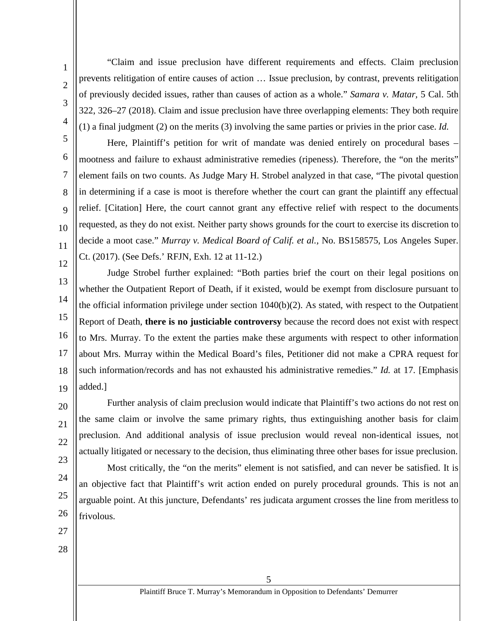2 3 4

5

6

7

8

9

10

11

12

1

"Claim and issue preclusion have different requirements and effects. Claim preclusion prevents relitigation of entire causes of action … Issue preclusion, by contrast, prevents relitigation of previously decided issues, rather than causes of action as a whole." *Samara v. Matar,* 5 Cal. 5th 322, 326–27 (2018). Claim and issue preclusion have three overlapping elements: They both require (1) a final judgment (2) on the merits (3) involving the same parties or privies in the prior case. *Id.*

Here, Plaintiff's petition for writ of mandate was denied entirely on procedural bases – mootness and failure to exhaust administrative remedies (ripeness). Therefore, the "on the merits" element fails on two counts. As Judge Mary H. Strobel analyzed in that case, "The pivotal question in determining if a case is moot is therefore whether the court can grant the plaintiff any effectual relief. [Citation] Here, the court cannot grant any effective relief with respect to the documents requested, as they do not exist. Neither party shows grounds for the court to exercise its discretion to decide a moot case." *Murray v. Medical Board of Calif. et al.,* No. BS158575, Los Angeles Super. Ct. (2017). (See Defs.' RFJN, Exh. 12 at 11-12.)

13 14 15 16 17 18 19 Judge Strobel further explained: "Both parties brief the court on their legal positions on whether the Outpatient Report of Death, if it existed, would be exempt from disclosure pursuant to the official information privilege under section  $1040(b)(2)$ . As stated, with respect to the Outpatient Report of Death, **there is no justiciable controversy** because the record does not exist with respect to Mrs. Murray. To the extent the parties make these arguments with respect to other information about Mrs. Murray within the Medical Board's files, Petitioner did not make a CPRA request for such information/records and has not exhausted his administrative remedies." *Id.* at 17. [Emphasis added.]

Further analysis of claim preclusion would indicate that Plaintiff's two actions do not rest on the same claim or involve the same primary rights, thus extinguishing another basis for claim preclusion. And additional analysis of issue preclusion would reveal non-identical issues, not actually litigated or necessary to the decision, thus eliminating three other bases for issue preclusion.

Most critically, the "on the merits" element is not satisfied, and can never be satisfied. It is an objective fact that Plaintiff's writ action ended on purely procedural grounds. This is not an arguable point. At this juncture, Defendants' res judicata argument crosses the line from meritless to frivolous.

27

20

21

22

23

24

25

26

28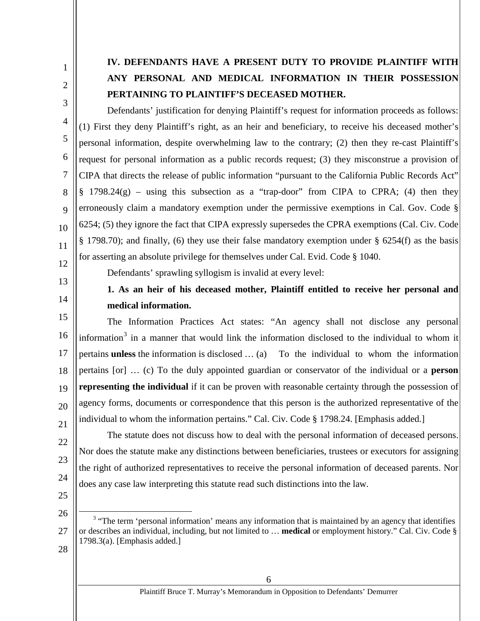<span id="page-11-0"></span>1 2

3

4

5

6

7

8

9

10

11

12

# **IV. DEFENDANTS HAVE A PRESENT DUTY TO PROVIDE PLAINTIFF WITH ANY PERSONAL AND MEDICAL INFORMATION IN THEIR POSSESSION PERTAINING TO PLAINTIFF'S DECEASED MOTHER.**

Defendants' justification for denying Plaintiff's request for information proceeds as follows: (1) First they deny Plaintiff's right, as an heir and beneficiary, to receive his deceased mother's personal information, despite overwhelming law to the contrary; (2) then they re-cast Plaintiff's request for personal information as a public records request; (3) they misconstrue a provision of CIPA that directs the release of public information "pursuant to the California Public Records Act"  $§$  1798.24(g) – using this subsection as a "trap-door" from CIPA to CPRA; (4) then they erroneously claim a mandatory exemption under the permissive exemptions in Cal. Gov. Code § 6254; (5) they ignore the fact that CIPA expressly supersedes the CPRA exemptions (Cal. Civ. Code § 1798.70); and finally, (6) they use their false mandatory exemption under § 6254(f) as the basis for asserting an absolute privilege for themselves under Cal. Evid. Code § 1040.

<span id="page-11-1"></span>13

14

Defendants' sprawling syllogism is invalid at every level:

**1. As an heir of his deceased mother, Plaintiff entitled to receive her personal and medical information.**

15 16 17 18 19 20 21 The Information Practices Act states: "An agency shall not disclose any personal information<sup>[3](#page-11-2)</sup> in a manner that would link the information disclosed to the individual to whom it pertains **unless** the information is disclosed … (a) To the individual to whom the information pertains [or] … (c) To the duly appointed guardian or conservator of the individual or a **person representing the individual** if it can be proven with reasonable certainty through the possession of agency forms, documents or correspondence that this person is the authorized representative of the individual to whom the information pertains." Cal. Civ. Code § 1798.24. [Emphasis added.]

The statute does not discuss how to deal with the personal information of deceased persons. Nor does the statute make any distinctions between beneficiaries, trustees or executors for assigning the right of authorized representatives to receive the personal information of deceased parents. Nor does any case law interpreting this statute read such distinctions into the law.

25

22

23

24

<span id="page-11-2"></span><sup>26</sup> 27 <sup>3</sup> "The term 'personal information' means any information that is maintained by an agency that identifies or describes an individual, including, but not limited to … **medical** or employment history." Cal. Civ. Code § 1798.3(a). [Emphasis added.]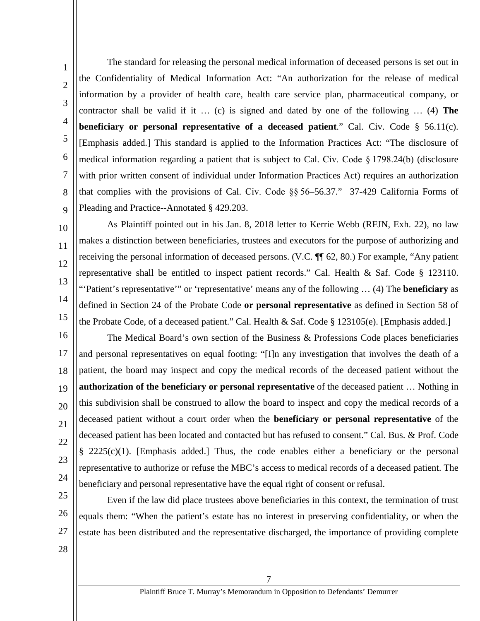The standard for releasing the personal medical information of deceased persons is set out in the Confidentiality of Medical Information Act: "An authorization for the release of medical information by a provider of health care, health care service plan, pharmaceutical company, or contractor shall be valid if it … (c) is signed and dated by one of the following … (4) **The beneficiary or personal representative of a deceased patient**." Cal. Civ. Code § 56.11(c). [Emphasis added.] This standard is applied to the Information Practices Act: "The disclosure of medical information regarding a patient that is subject to Cal. Civ. Code § 1798.24(b) (disclosure with prior written consent of individual under Information Practices Act) requires an authorization that complies with the provisions of Cal. Civ. Code §§ 56–56.37." 37-429 California Forms of Pleading and Practice--Annotated § 429.203.

10 11

1

2

3

4

5

6

7

8

9

12 13

14

15

As Plaintiff pointed out in his Jan. 8, 2018 letter to Kerrie Webb (RFJN, Exh. 22), no law makes a distinction between beneficiaries, trustees and executors for the purpose of authorizing and receiving the personal information of deceased persons. (V.C. ¶¶ 62, 80.) For example, "Any patient representative shall be entitled to inspect patient records." Cal. Health & Saf. Code § 123110. "'Patient's representative'" or 'representative' means any of the following … (4) The **beneficiary** as defined in Section 24 of the Probate Code **or personal representative** as defined in Section 58 of the Probate Code, of a deceased patient." Cal. Health & Saf. Code § 123105(e). [Emphasis added.]

16 17 18 19 20 21 22 23 24 The Medical Board's own section of the Business & Professions Code places beneficiaries and personal representatives on equal footing: "[I]n any investigation that involves the death of a patient, the board may inspect and copy the medical records of the deceased patient without the **authorization of the beneficiary or personal representative** of the deceased patient … Nothing in this subdivision shall be construed to allow the board to inspect and copy the medical records of a deceased patient without a court order when the **beneficiary or personal representative** of the deceased patient has been located and contacted but has refused to consent." Cal. Bus. & Prof. Code § 2225(c)(1). [Emphasis added.] Thus, the code enables either a beneficiary or the personal representative to authorize or refuse the MBC's access to medical records of a deceased patient. The beneficiary and personal representative have the equal right of consent or refusal.

25

26 27 Even if the law did place trustees above beneficiaries in this context, the termination of trust equals them: "When the patient's estate has no interest in preserving confidentiality, or when the estate has been distributed and the representative discharged, the importance of providing complete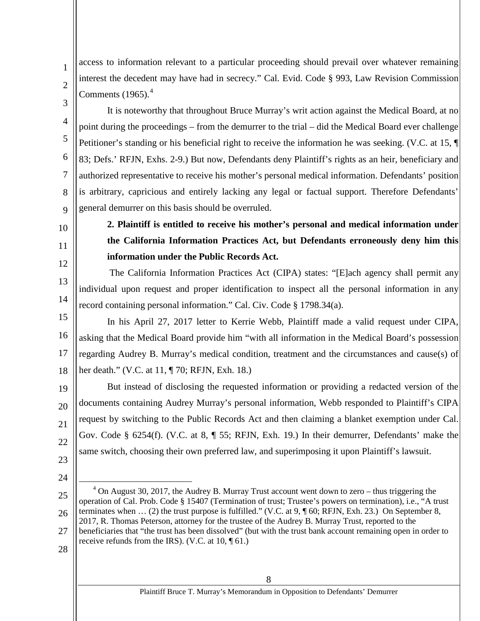access to information relevant to a particular proceeding should prevail over whatever remaining interest the decedent may have had in secrecy." Cal. Evid. Code § 993, Law Revision Commission Comments  $(1965)$ .<sup>[4](#page-13-1)</sup>

It is noteworthy that throughout Bruce Murray's writ action against the Medical Board, at no point during the proceedings – from the demurrer to the trial – did the Medical Board ever challenge Petitioner's standing or his beneficial right to receive the information he was seeking. (V.C. at 15, ¶ 83; Defs.' RFJN, Exhs. 2-9.) But now, Defendants deny Plaintiff's rights as an heir, beneficiary and authorized representative to receive his mother's personal medical information. Defendants' position is arbitrary, capricious and entirely lacking any legal or factual support. Therefore Defendants' general demurrer on this basis should be overruled.

<span id="page-13-0"></span>10

1

2

3

4

5

6

7

8

9

11 12

13

14

## **2. Plaintiff is entitled to receive his mother's personal and medical information under the California Information Practices Act, but Defendants erroneously deny him this information under the Public Records Act.**

The California Information Practices Act (CIPA) states: "[E]ach agency shall permit any individual upon request and proper identification to inspect all the personal information in any record containing personal information." Cal. Civ. Code § 1798.34(a).

15 16 17 18 In his April 27, 2017 letter to Kerrie Webb, Plaintiff made a valid request under CIPA, asking that the Medical Board provide him "with all information in the Medical Board's possession regarding Audrey B. Murray's medical condition, treatment and the circumstances and cause(s) of her death." (V.C. at 11, ¶ 70; RFJN, Exh. 18.)

19 20 21 22 But instead of disclosing the requested information or providing a redacted version of the documents containing Audrey Murray's personal information, Webb responded to Plaintiff's CIPA request by switching to the Public Records Act and then claiming a blanket exemption under Cal. Gov. Code § 6254(f). (V.C. at 8, ¶ 55; RFJN, Exh. 19.) In their demurrer, Defendants' make the same switch, choosing their own preferred law, and superimposing it upon Plaintiff's lawsuit.

- 23
- 24
- <span id="page-13-1"></span>25

28

<sup>26</sup>  $4$  On August 30, 2017, the Audrey B. Murray Trust account went down to zero – thus triggering the operation of Cal. Prob. Code § 15407 (Termination of trust; Trustee's powers on termination), i.e., "A trust terminates when … (2) the trust purpose is fulfilled." (V.C. at 9, ¶ 60; RFJN, Exh. 23.) On September 8, 2017, R. Thomas Peterson, attorney for the trustee of the Audrey B. Murray Trust, reported to the beneficiaries that "the trust has been dissolved" (but with the trust bank account remaining open in order to receive refunds from the IRS). (V.C. at 10, ¶ 61.)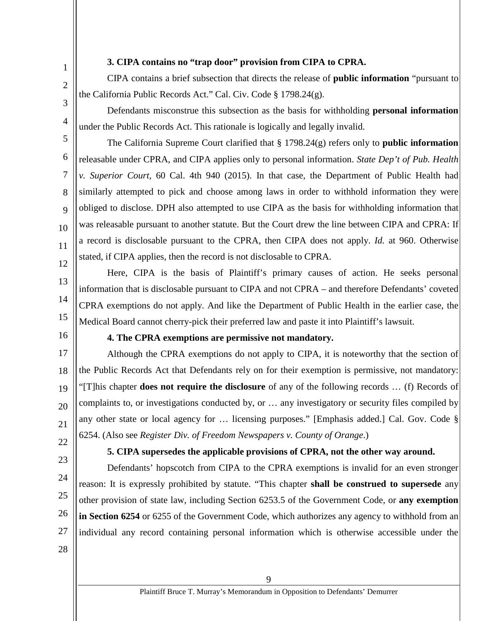### **3. CIPA contains no "trap door" provision from CIPA to CPRA.**

CIPA contains a brief subsection that directs the release of **public information** "pursuant to the California Public Records Act." Cal. Civ. Code § 1798.24(g).

Defendants misconstrue this subsection as the basis for withholding **personal information** under the Public Records Act. This rationale is logically and legally invalid.

The California Supreme Court clarified that § 1798.24(g) refers only to **public information** releasable under CPRA, and CIPA applies only to personal information. *State Dep't of Pub. Health v. Superior Court,* 60 Cal. 4th 940 (2015). In that case, the Department of Public Health had similarly attempted to pick and choose among laws in order to withhold information they were obliged to disclose. DPH also attempted to use CIPA as the basis for withholding information that was releasable pursuant to another statute. But the Court drew the line between CIPA and CPRA: If a record is disclosable pursuant to the CPRA, then CIPA does not apply. *Id.* at 960. Otherwise stated, if CIPA applies, then the record is not disclosable to CPRA.

Here, CIPA is the basis of Plaintiff's primary causes of action. He seeks personal information that is disclosable pursuant to CIPA and not CPRA – and therefore Defendants' coveted CPRA exemptions do not apply. And like the Department of Public Health in the earlier case, the Medical Board cannot cherry-pick their preferred law and paste it into Plaintiff's lawsuit.

<span id="page-14-1"></span>16

<span id="page-14-0"></span>1

2

3

4

5

6

7

8

9

10

11

12

13

14

15

#### **4. The CPRA exemptions are permissive not mandatory.**

17 18 19 20 21 22 Although the CPRA exemptions do not apply to CIPA, it is noteworthy that the section of the Public Records Act that Defendants rely on for their exemption is permissive, not mandatory: "[T]his chapter **does not require the disclosure** of any of the following records … (f) Records of complaints to, or investigations conducted by, or … any investigatory or security files compiled by any other state or local agency for … licensing purposes." [Emphasis added.] Cal. Gov. Code § 6254. (Also see *Register Div. of Freedom Newspapers v. County of Orange*.)

23

24

25

26

27

### **5. CIPA supersedes the applicable provisions of CPRA, not the other way around.**

<span id="page-14-2"></span>Defendants' hopscotch from CIPA to the CPRA exemptions is invalid for an even stronger reason: It is expressly prohibited by statute. "This chapter **shall be construed to supersede** any other provision of state law, including Section 6253.5 of the Government Code, or **any exemption in Section 6254** or 6255 of the Government Code, which authorizes any agency to withhold from an individual any record containing personal information which is otherwise accessible under the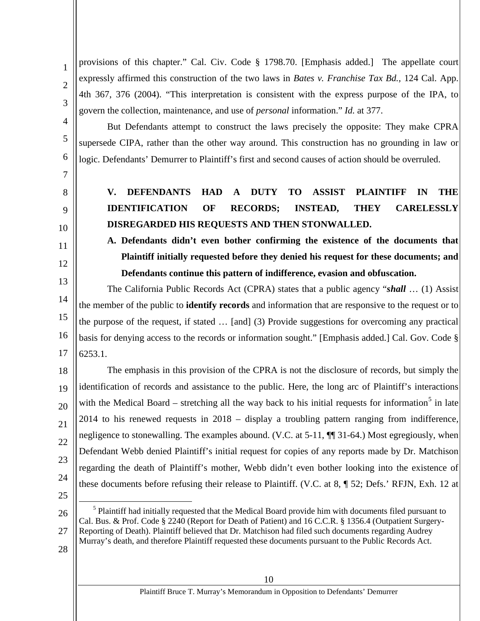provisions of this chapter." Cal. Civ. Code § 1798.70. [Emphasis added.] The appellate court expressly affirmed this construction of the two laws in *Bates v. Franchise Tax Bd.,* 124 Cal. App. 4th 367, 376 (2004). "This interpretation is consistent with the express purpose of the IPA, to govern the collection, maintenance, and use of *personal* information." *Id.* at 377.

But Defendants attempt to construct the laws precisely the opposite: They make CPRA supersede CIPA, rather than the other way around. This construction has no grounding in law or logic. Defendants' Demurrer to Plaintiff's first and second causes of action should be overruled.

7

<span id="page-15-0"></span>8

9

10

<span id="page-15-1"></span>11

12

14

17

6

1

2

3

4

5

# **V. DEFENDANTS HAD A DUTY TO ASSIST PLAINTIFF IN THE IDENTIFICATION OF RECORDS; INSTEAD, THEY CARELESSLY DISREGARDED HIS REQUESTS AND THEN STONWALLED.**

**A. Defendants didn't even bother confirming the existence of the documents that Plaintiff initially requested before they denied his request for these documents; and Defendants continue this pattern of indifference, evasion and obfuscation.**

13 15 16 The California Public Records Act (CPRA) states that a public agency "*shall* … (1) Assist the member of the public to **identify records** and information that are responsive to the request or to the purpose of the request, if stated … [and] (3) Provide suggestions for overcoming any practical basis for denying access to the records or information sought." [Emphasis added.] Cal. Gov. Code § 6253.1.

18 19 20 21 22 23 24 The emphasis in this provision of the CPRA is not the disclosure of records, but simply the identification of records and assistance to the public. Here, the long arc of Plaintiff's interactions with the Medical Board – stretching all the way back to his initial requests for information<sup>[5](#page-15-2)</sup> in late 2014 to his renewed requests in 2018 – display a troubling pattern ranging from indifference, negligence to stonewalling. The examples abound. (V.C. at 5-11,  $\P$  31-64.) Most egregiously, when Defendant Webb denied Plaintiff's initial request for copies of any reports made by Dr. Matchison regarding the death of Plaintiff's mother, Webb didn't even bother looking into the existence of these documents before refusing their release to Plaintiff. (V.C. at 8, ¶ 52; Defs.' RFJN, Exh. 12 at

25

<span id="page-15-2"></span>26 27 <sup>5</sup> Plaintiff had initially requested that the Medical Board provide him with documents filed pursuant to Cal. Bus. & Prof. Code § 2240 (Report for Death of Patient) and 16 C.C.R. § 1356.4 (Outpatient Surgery-Reporting of Death). Plaintiff believed that Dr. Matchison had filed such documents regarding Audrey Murray's death, and therefore Plaintiff requested these documents pursuant to the Public Records Act.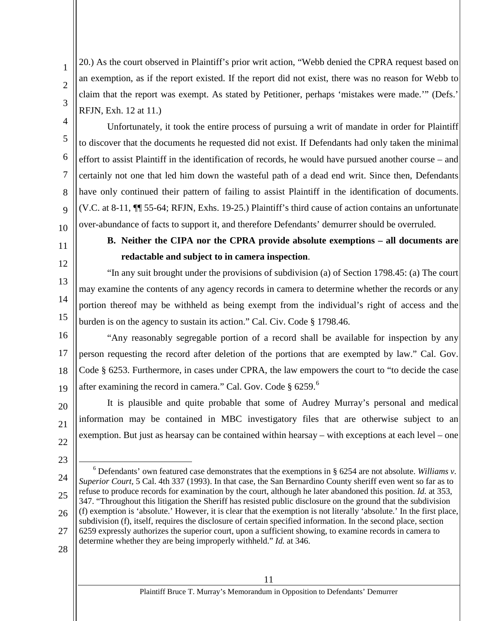20.) As the court observed in Plaintiff's prior writ action, "Webb denied the CPRA request based on an exemption, as if the report existed. If the report did not exist, there was no reason for Webb to claim that the report was exempt. As stated by Petitioner, perhaps 'mistakes were made.'" (Defs.' RFJN, Exh. 12 at 11.)

Unfortunately, it took the entire process of pursuing a writ of mandate in order for Plaintiff to discover that the documents he requested did not exist. If Defendants had only taken the minimal effort to assist Plaintiff in the identification of records, he would have pursued another course – and certainly not one that led him down the wasteful path of a dead end writ. Since then, Defendants have only continued their pattern of failing to assist Plaintiff in the identification of documents. (V.C. at 8-11, ¶¶ 55-64; RFJN, Exhs. 19-25.) Plaintiff's third cause of action contains an unfortunate over-abundance of facts to support it, and therefore Defendants' demurrer should be overruled.

<span id="page-16-0"></span>10 11

1

2

3

4

5

6

7

8

9

12

13

14

15

## **B. Neither the CIPA nor the CPRA provide absolute exemptions – all documents are redactable and subject to in camera inspection**.

"In any suit brought under the provisions of subdivision (a) of Section 1798.45: (a) The court may examine the contents of any agency records in camera to determine whether the records or any portion thereof may be withheld as being exempt from the individual's right of access and the burden is on the agency to sustain its action." Cal. Civ. Code § 1798.46.

16

17 18 19 "Any reasonably segregable portion of a record shall be available for inspection by any person requesting the record after deletion of the portions that are exempted by law." Cal. Gov. Code § 6253. Furthermore, in cases under CPRA, the law empowers the court to "to decide the case after examining the record in camera." Cal. Gov. Code § [6](#page-16-1)259.<sup>6</sup>

20 21 22 It is plausible and quite probable that some of Audrey Murray's personal and medical information may be contained in MBC investigatory files that are otherwise subject to an exemption. But just as hearsay can be contained within hearsay – with exceptions at each level – one

- 23
- <span id="page-16-1"></span>24 25 26 27  $6$  Defendants' own featured case demonstrates that the exemptions in  $\frac{6}{5}$  6254 are not absolute. *Williams v. Superior Court,* 5 Cal. 4th 337 (1993). In that case, the San Bernardino County sheriff even went so far as to refuse to produce records for examination by the court, although he later abandoned this position. *Id.* at 353, 347. "Throughout this litigation the Sheriff has resisted public disclosure on the ground that the subdivision (f) exemption is 'absolute.' However, it is clear that the exemption is not literally 'absolute.' In the first place, subdivision (f), itself, requires the disclosure of certain specified information. In the second place, section 6259 expressly authorizes the superior court, upon a sufficient showing, to examine records in camera to determine whether they are being improperly withheld." *Id.* at 346.
- 28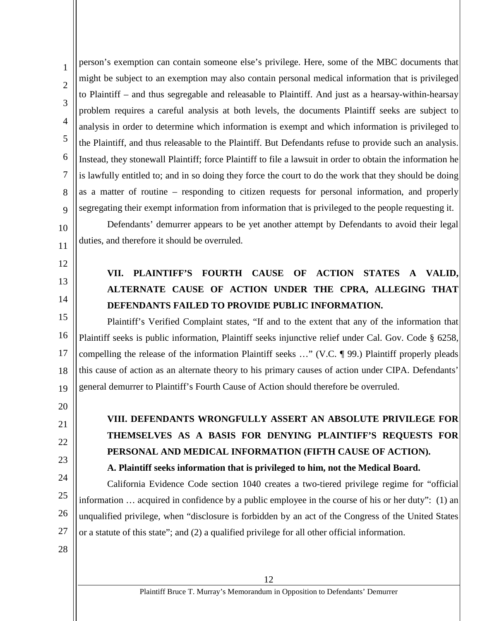1 2 3 4 5 6 7 8 9 person's exemption can contain someone else's privilege. Here, some of the MBC documents that might be subject to an exemption may also contain personal medical information that is privileged to Plaintiff – and thus segregable and releasable to Plaintiff. And just as a hearsay-within-hearsay problem requires a careful analysis at both levels, the documents Plaintiff seeks are subject to analysis in order to determine which information is exempt and which information is privileged to the Plaintiff, and thus releasable to the Plaintiff. But Defendants refuse to provide such an analysis. Instead, they stonewall Plaintiff; force Plaintiff to file a lawsuit in order to obtain the information he is lawfully entitled to; and in so doing they force the court to do the work that they should be doing as a matter of routine – responding to citizen requests for personal information, and properly segregating their exempt information from information that is privileged to the people requesting it.

Defendants' demurrer appears to be yet another attempt by Defendants to avoid their legal duties, and therefore it should be overruled.

<span id="page-17-0"></span>12

11

10

13 14

# **VII. PLAINTIFF'S FOURTH CAUSE OF ACTION STATES A VALID, ALTERNATE CAUSE OF ACTION UNDER THE CPRA, ALLEGING THAT DEFENDANTS FAILED TO PROVIDE PUBLIC INFORMATION.**

15 16 17 18 19 Plaintiff's Verified Complaint states, "If and to the extent that any of the information that Plaintiff seeks is public information, Plaintiff seeks injunctive relief under Cal. Gov. Code § 6258, compelling the release of the information Plaintiff seeks …" (V.C. ¶ 99.) Plaintiff properly pleads this cause of action as an alternate theory to his primary causes of action under CIPA. Defendants' general demurrer to Plaintiff's Fourth Cause of Action should therefore be overruled.

- 20
- <span id="page-17-1"></span>21
- 22
- 23
- 24
- 25

26

# **VIII. DEFENDANTS WRONGFULLY ASSERT AN ABSOLUTE PRIVILEGE FOR THEMSELVES AS A BASIS FOR DENYING PLAINTIFF'S REQUESTS FOR PERSONAL AND MEDICAL INFORMATION (FIFTH CAUSE OF ACTION). A. Plaintiff seeks information that is privileged to him, not the Medical Board.**

<span id="page-17-2"></span>California Evidence Code section 1040 creates a two-tiered privilege regime for "official information … acquired in confidence by a public employee in the course of his or her duty": (1) an unqualified privilege, when "disclosure is forbidden by an act of the Congress of the United States or a statute of this state"; and (2) a qualified privilege for all other official information.

28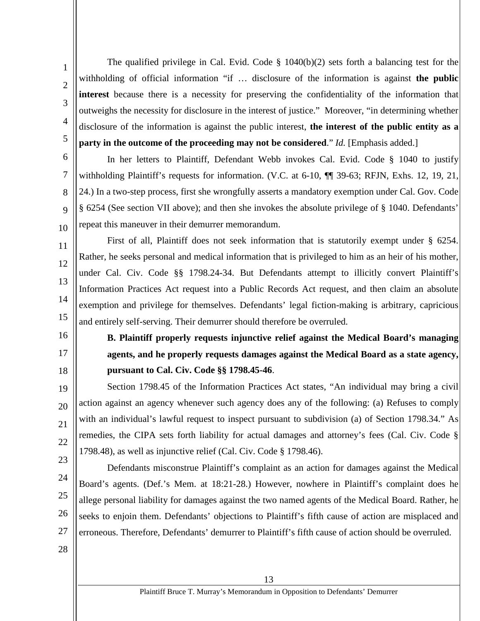2 3

4

5

6

7

8

9

10

11

12

13

14

15

1

The qualified privilege in Cal. Evid. Code  $\S$  1040(b)(2) sets forth a balancing test for the withholding of official information "if … disclosure of the information is against **the public interest** because there is a necessity for preserving the confidentiality of the information that outweighs the necessity for disclosure in the interest of justice." Moreover, "in determining whether disclosure of the information is against the public interest, **the interest of the public entity as a party in the outcome of the proceeding may not be considered.**" *Id.* [Emphasis added.]

In her letters to Plaintiff, Defendant Webb invokes Cal. Evid. Code § 1040 to justify withholding Plaintiff's requests for information. (V.C. at 6-10,  $\P$  39-63; RFJN, Exhs. 12, 19, 21, 24.) In a two-step process, first she wrongfully asserts a mandatory exemption under Cal. Gov. Code § 6254 (See section VII above); and then she invokes the absolute privilege of § 1040. Defendants' repeat this maneuver in their demurrer memorandum.

First of all, Plaintiff does not seek information that is statutorily exempt under § 6254. Rather, he seeks personal and medical information that is privileged to him as an heir of his mother, under Cal. Civ. Code §§ 1798.24-34. But Defendants attempt to illicitly convert Plaintiff's Information Practices Act request into a Public Records Act request, and then claim an absolute exemption and privilege for themselves. Defendants' legal fiction-making is arbitrary, capricious and entirely self-serving. Their demurrer should therefore be overruled.

**pursuant to Cal. Civ. Code §§ 1798.45-46**.

**B. Plaintiff properly requests injunctive relief against the Medical Board's managing** 

**agents, and he properly requests damages against the Medical Board as a state agency,** 

Section 1798.45 of the Information Practices Act states, "An individual may bring a civil

action against an agency whenever such agency does any of the following: (a) Refuses to comply

with an individual's lawful request to inspect pursuant to subdivision (a) of Section 1798.34." As

remedies, the CIPA sets forth liability for actual damages and attorney's fees (Cal. Civ. Code §

- <span id="page-18-0"></span>16
- 17
- 18

19

20

21

22

23

24

25

26 27 1798.48), as well as injunctive relief (Cal. Civ. Code § 1798.46). Defendants misconstrue Plaintiff's complaint as an action for damages against the Medical Board's agents. (Def.'s Mem. at 18:21-28.) However, nowhere in Plaintiff's complaint does he allege personal liability for damages against the two named agents of the Medical Board. Rather, he seeks to enjoin them. Defendants' objections to Plaintiff's fifth cause of action are misplaced and erroneous. Therefore, Defendants' demurrer to Plaintiff's fifth cause of action should be overruled.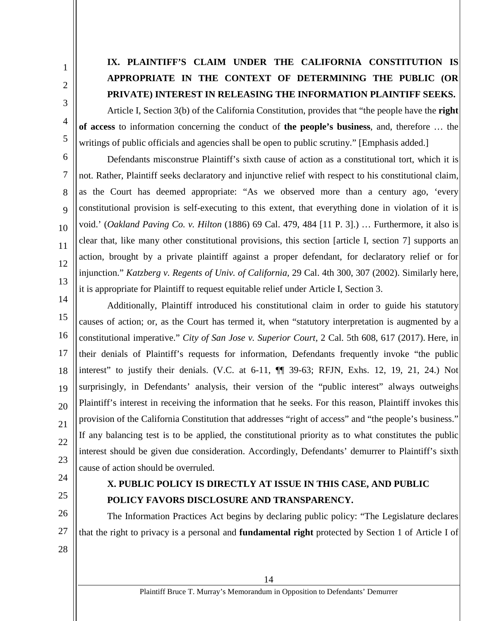# **IX. PLAINTIFF'S CLAIM UNDER THE CALIFORNIA CONSTITUTION IS APPROPRIATE IN THE CONTEXT OF DETERMINING THE PUBLIC (OR PRIVATE) INTEREST IN RELEASING THE INFORMATION PLAINTIFF SEEKS.**

Article I, Section 3(b) of the California Constitution, provides that "the people have the **right of access** to information concerning the conduct of **the people's business**, and, therefore … the writings of public officials and agencies shall be open to public scrutiny." [Emphasis added.]

Defendants misconstrue Plaintiff's sixth cause of action as a constitutional tort, which it is not. Rather, Plaintiff seeks declaratory and injunctive relief with respect to his constitutional claim, as the Court has deemed appropriate: "As we observed more than a century ago, 'every constitutional provision is self-executing to this extent, that everything done in violation of it is void.' (*Oakland Paving Co. v. Hilton* (1886) 69 Cal. 479, 484 [11 P. 3].) … Furthermore, it also is clear that, like many other constitutional provisions, this section [article I, section 7] supports an action, brought by a private plaintiff against a proper defendant, for declaratory relief or for injunction." *Katzberg v. Regents of Univ. of California,* 29 Cal. 4th 300, 307 (2002). Similarly here, it is appropriate for Plaintiff to request equitable relief under Article I, Section 3.

14 15 16 17 18 19 20 21 22 23 Additionally, Plaintiff introduced his constitutional claim in order to guide his statutory causes of action; or, as the Court has termed it, when "statutory interpretation is augmented by a constitutional imperative." *City of San Jose v. Superior Court,* 2 Cal. 5th 608, 617 (2017). Here, in their denials of Plaintiff's requests for information, Defendants frequently invoke "the public interest" to justify their denials. (V.C. at 6-11,  $\P$  39-63; RFJN, Exhs. 12, 19, 21, 24.) Not surprisingly, in Defendants' analysis, their version of the "public interest" always outweighs Plaintiff's interest in receiving the information that he seeks. For this reason, Plaintiff invokes this provision of the California Constitution that addresses "right of access" and "the people's business." If any balancing test is to be applied, the constitutional priority as to what constitutes the public interest should be given due consideration. Accordingly, Defendants' demurrer to Plaintiff's sixth cause of action should be overruled.

<span id="page-19-1"></span>24

<span id="page-19-0"></span>1

2

3

4

5

6

7

8

9

10

11

12

13

25

### **X. PUBLIC POLICY IS DIRECTLY AT ISSUE IN THIS CASE, AND PUBLIC POLICY FAVORS DISCLOSURE AND TRANSPARENCY.**

26 27 The Information Practices Act begins by declaring public policy: "The Legislature declares that the right to privacy is a personal and **fundamental right** protected by Section 1 of Article I of